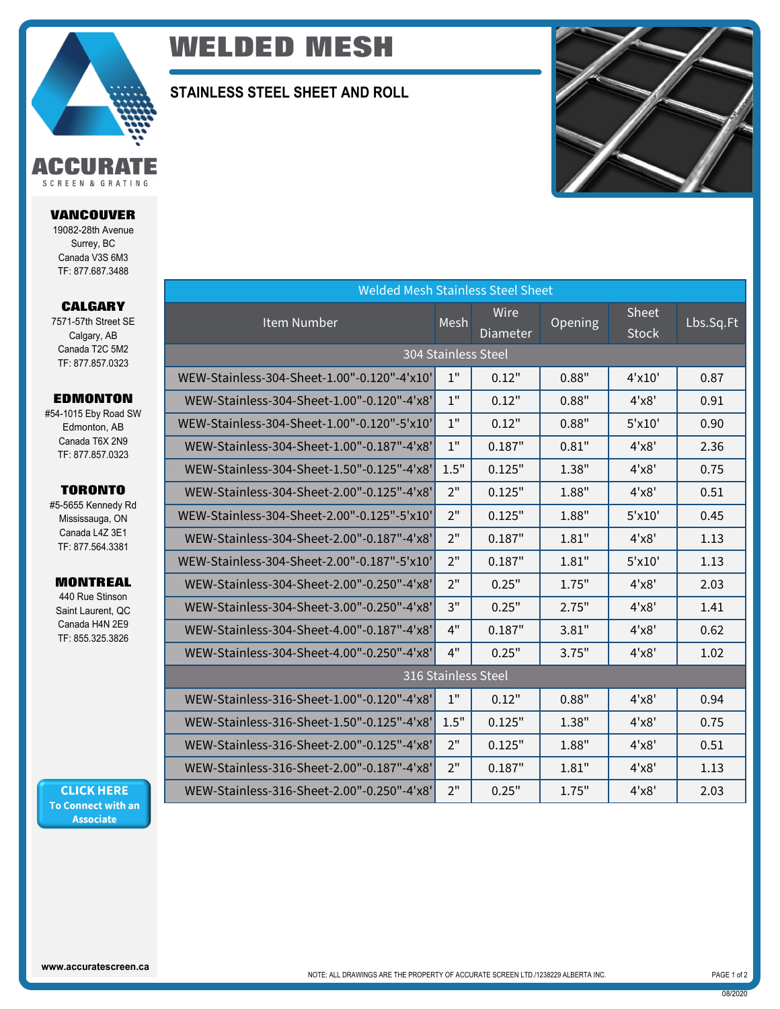

# **WELDED MESH**

### **STAINLESS STEEL SHEET AND ROLL**



| <b>Welded Mesh Stainless Steel Sheet</b>    |      |                  |         |                       |           |  |  |  |  |  |
|---------------------------------------------|------|------------------|---------|-----------------------|-----------|--|--|--|--|--|
| Item Number                                 | Mesh | Wire<br>Diameter | Opening | Sheet<br><b>Stock</b> | Lbs.Sq.Ft |  |  |  |  |  |
| 304 Stainless Steel                         |      |                  |         |                       |           |  |  |  |  |  |
| WEW-Stainless-304-Sheet-1.00"-0.120"-4'x10' | 1"   | 0.12"            | 0.88"   | $4'$ x $10'$          | 0.87      |  |  |  |  |  |
| WEW-Stainless-304-Sheet-1.00"-0.120"-4'x8'  | $1"$ | 0.12"            | 0.88"   | 4'x8'                 | 0.91      |  |  |  |  |  |
| WEW-Stainless-304-Sheet-1.00"-0.120"-5'x10' | 1"   | 0.12"            | 0.88"   | $5'$ x $10'$          | 0.90      |  |  |  |  |  |
| WEW-Stainless-304-Sheet-1.00"-0.187"-4'x8'  | 1"   | 0.187"           | 0.81"   | 4'x8'                 | 2.36      |  |  |  |  |  |
| WEW-Stainless-304-Sheet-1.50"-0.125"-4'x8'  | 1.5" | 0.125"           | 1.38"   | 4'x8'                 | 0.75      |  |  |  |  |  |
| WEW-Stainless-304-Sheet-2.00"-0.125"-4'x8'  | 2"   | 0.125"           | 1.88"   | 4'x8'                 | 0.51      |  |  |  |  |  |
| WEW-Stainless-304-Sheet-2.00"-0.125"-5'x10' | 2"   | 0.125"           | 1.88"   | $5'$ x $10'$          | 0.45      |  |  |  |  |  |
| WEW-Stainless-304-Sheet-2.00"-0.187"-4'x8'  | 2"   | 0.187"           | 1.81"   | 4'x8'                 | 1.13      |  |  |  |  |  |
| WEW-Stainless-304-Sheet-2.00"-0.187"-5'x10' | 2"   | 0.187"           | 1.81"   | $5'$ x $10'$          | 1.13      |  |  |  |  |  |
| WEW-Stainless-304-Sheet-2.00"-0.250"-4'x8'  | 2"   | 0.25"            | 1.75"   | 4'x8'                 | 2.03      |  |  |  |  |  |
| WEW-Stainless-304-Sheet-3.00"-0.250"-4'x8'  | 3"   | 0.25"            | 2.75"   | 4'x8'                 | 1.41      |  |  |  |  |  |
| WEW-Stainless-304-Sheet-4.00"-0.187"-4'x8'  | 4"   | 0.187"           | 3.81"   | 4'x8'                 | 0.62      |  |  |  |  |  |
| WEW-Stainless-304-Sheet-4.00"-0.250"-4'x8'  | 4"   | 0.25"            | 3.75"   | 4'x8'                 | 1.02      |  |  |  |  |  |
| 316 Stainless Steel                         |      |                  |         |                       |           |  |  |  |  |  |
| WEW-Stainless-316-Sheet-1.00"-0.120"-4'x8'  | 1"   | 0.12"            | 0.88"   | 4'x8'                 | 0.94      |  |  |  |  |  |
| WEW-Stainless-316-Sheet-1.50"-0.125"-4'x8'  | 1.5" | 0.125"           | 1.38"   | 4'x8'                 | 0.75      |  |  |  |  |  |
| WEW-Stainless-316-Sheet-2.00"-0.125"-4'x8'  | 2"   | 0.125"           | 1.88"   | 4'x8'                 | 0.51      |  |  |  |  |  |
| WEW-Stainless-316-Sheet-2.00"-0.187"-4'x8'  | 2"   | 0.187"           | 1.81"   | 4'x8'                 | 1.13      |  |  |  |  |  |
| WEW-Stainless-316-Sheet-2.00"-0.250"-4'x8'  | 2"   | 0.25"            | 1.75"   | 4'x8'                 | 2.03      |  |  |  |  |  |

**CALGARY** 7571-57th Street SE Calgary, AB Canada T2C 5M2 TF: 877.857.0323

**VANCOUVER** 19082-28th Avenue Surrey, BC Canada V3S 6M3 TF: 877.687.3488

SCREEN & GRATING

#### **EDMONTON**

#54-1015 Eby Road SW Edmonton, AB Canada T6X 2N9 TF: 877.857.0323

#### **TORONTO**

#5-5655 Kennedy Rd Mississauga, ON Canada L4Z 3E1 TF: 877.564.3381

#### **MONTREAL**

440 Rue Stinson Saint Laurent, QC Canada H4N 2E9 TF: 855.325.3826

**CLICK HERE** To Connect with an **Associate** 

08/2020